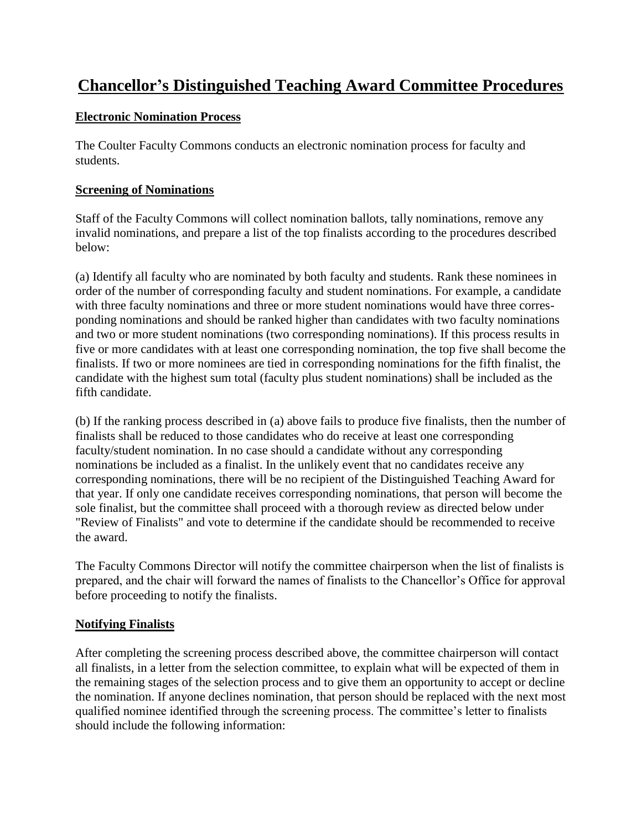# **Chancellor's Distinguished Teaching Award Committee Procedures**

#### **Electronic Nomination Process**

The Coulter Faculty Commons conducts an electronic nomination process for faculty and students.

#### **Screening of Nominations**

Staff of the Faculty Commons will collect nomination ballots, tally nominations, remove any invalid nominations, and prepare a list of the top finalists according to the procedures described below:

(a) Identify all faculty who are nominated by both faculty and students. Rank these nominees in order of the number of corresponding faculty and student nominations. For example, a candidate with three faculty nominations and three or more student nominations would have three corresponding nominations and should be ranked higher than candidates with two faculty nominations and two or more student nominations (two corresponding nominations). If this process results in five or more candidates with at least one corresponding nomination, the top five shall become the finalists. If two or more nominees are tied in corresponding nominations for the fifth finalist, the candidate with the highest sum total (faculty plus student nominations) shall be included as the fifth candidate.

(b) If the ranking process described in (a) above fails to produce five finalists, then the number of finalists shall be reduced to those candidates who do receive at least one corresponding faculty/student nomination. In no case should a candidate without any corresponding nominations be included as a finalist. In the unlikely event that no candidates receive any corresponding nominations, there will be no recipient of the Distinguished Teaching Award for that year. If only one candidate receives corresponding nominations, that person will become the sole finalist, but the committee shall proceed with a thorough review as directed below under "Review of Finalists" and vote to determine if the candidate should be recommended to receive the award.

The Faculty Commons Director will notify the committee chairperson when the list of finalists is prepared, and the chair will forward the names of finalists to the Chancellor's Office for approval before proceeding to notify the finalists.

## **Notifying Finalists**

After completing the screening process described above, the committee chairperson will contact all finalists, in a letter from the selection committee, to explain what will be expected of them in the remaining stages of the selection process and to give them an opportunity to accept or decline the nomination. If anyone declines nomination, that person should be replaced with the next most qualified nominee identified through the screening process. The committee's letter to finalists should include the following information: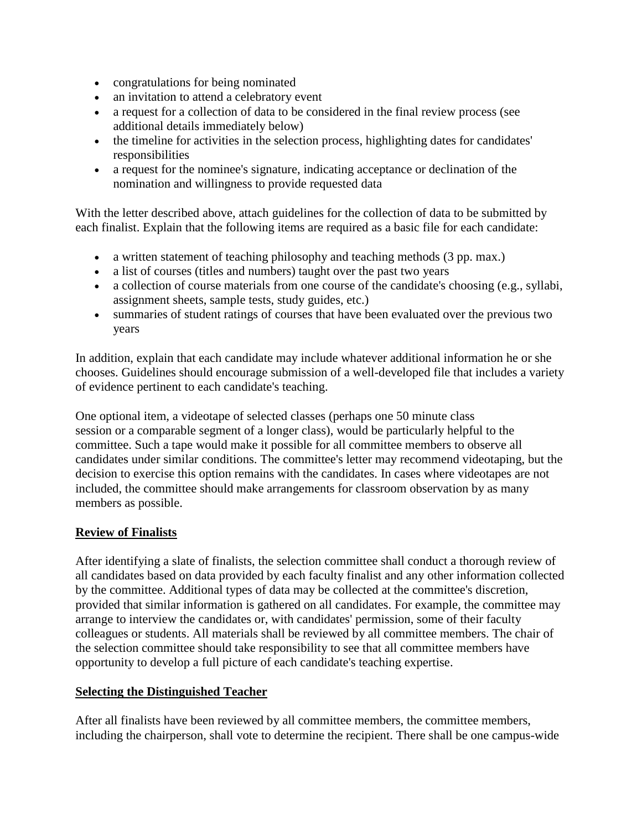- congratulations for being nominated
- an invitation to attend a celebratory event
- a request for a collection of data to be considered in the final review process (see additional details immediately below)
- the timeline for activities in the selection process, highlighting dates for candidates' responsibilities
- a request for the nominee's signature, indicating acceptance or declination of the nomination and willingness to provide requested data

With the letter described above, attach guidelines for the collection of data to be submitted by each finalist. Explain that the following items are required as a basic file for each candidate:

- a written statement of teaching philosophy and teaching methods (3 pp. max.)
- a list of courses (titles and numbers) taught over the past two years
- a collection of course materials from one course of the candidate's choosing (e.g., syllabi, assignment sheets, sample tests, study guides, etc.)
- summaries of student ratings of courses that have been evaluated over the previous two years

In addition, explain that each candidate may include whatever additional information he or she chooses. Guidelines should encourage submission of a well-developed file that includes a variety of evidence pertinent to each candidate's teaching.

One optional item, a videotape of selected classes (perhaps one 50 minute class session or a comparable segment of a longer class), would be particularly helpful to the committee. Such a tape would make it possible for all committee members to observe all candidates under similar conditions. The committee's letter may recommend videotaping, but the decision to exercise this option remains with the candidates. In cases where videotapes are not included, the committee should make arrangements for classroom observation by as many members as possible.

## **Review of Finalists**

After identifying a slate of finalists, the selection committee shall conduct a thorough review of all candidates based on data provided by each faculty finalist and any other information collected by the committee. Additional types of data may be collected at the committee's discretion, provided that similar information is gathered on all candidates. For example, the committee may arrange to interview the candidates or, with candidates' permission, some of their faculty colleagues or students. All materials shall be reviewed by all committee members. The chair of the selection committee should take responsibility to see that all committee members have opportunity to develop a full picture of each candidate's teaching expertise.

#### **Selecting the Distinguished Teacher**

After all finalists have been reviewed by all committee members, the committee members, including the chairperson, shall vote to determine the recipient. There shall be one campus-wide